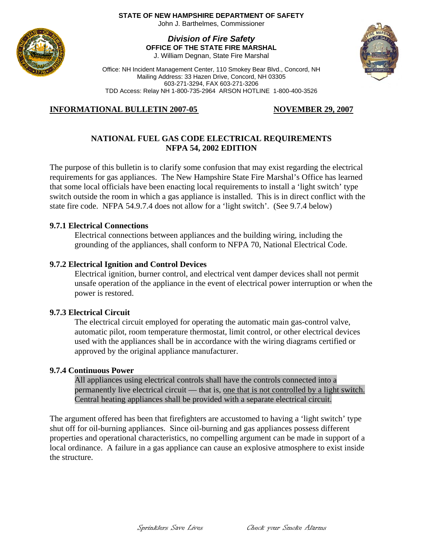#### **STATE OF NEW HAMPSHIRE DEPARTMENT OF SAFETY**

John J. Barthelmes, Commissioner

# *Division of Fire Safety* **OFFICE OF THE STATE FIRE MARSHAL**

J. William Degnan, State Fire Marshal



# **INFORMATIONAL BULLETIN 2007-05**

# **NOVEMBER 29, 2007**

## **NATIONAL FUEL GAS CODE ELECTRICAL REQUIREMENTS NFPA 54, 2002 EDITION**

The purpose of this bulletin is to clarify some confusion that may exist regarding the electrical requirements for gas appliances. The New Hampshire State Fire Marshal's Office has learned that some local officials have been enacting local requirements to install a 'light switch' type switch outside the room in which a gas appliance is installed. This is in direct conflict with the state fire code. NFPA 54.9.7.4 does not allow for a 'light switch'. (See 9.7.4 below)

## **9.7.1 Electrical Connections**

Electrical connections between appliances and the building wiring, including the grounding of the appliances, shall conform to NFPA 70, National Electrical Code.

#### **9.7.2 Electrical Ignition and Control Devices**

Electrical ignition, burner control, and electrical vent damper devices shall not permit unsafe operation of the appliance in the event of electrical power interruption or when the power is restored.

#### **9.7.3 Electrical Circuit**

The electrical circuit employed for operating the automatic main gas-control valve, automatic pilot, room temperature thermostat, limit control, or other electrical devices used with the appliances shall be in accordance with the wiring diagrams certified or approved by the original appliance manufacturer.

#### **9.7.4 Continuous Power**

All appliances using electrical controls shall have the controls connected into a permanently live electrical circuit — that is, one that is not controlled by a light switch. Central heating appliances shall be provided with a separate electrical circuit.

The argument offered has been that firefighters are accustomed to having a 'light switch' type shut off for oil-burning appliances. Since oil-burning and gas appliances possess different properties and operational characteristics, no compelling argument can be made in support of a local ordinance. A failure in a gas appliance can cause an explosive atmosphere to exist inside the structure.